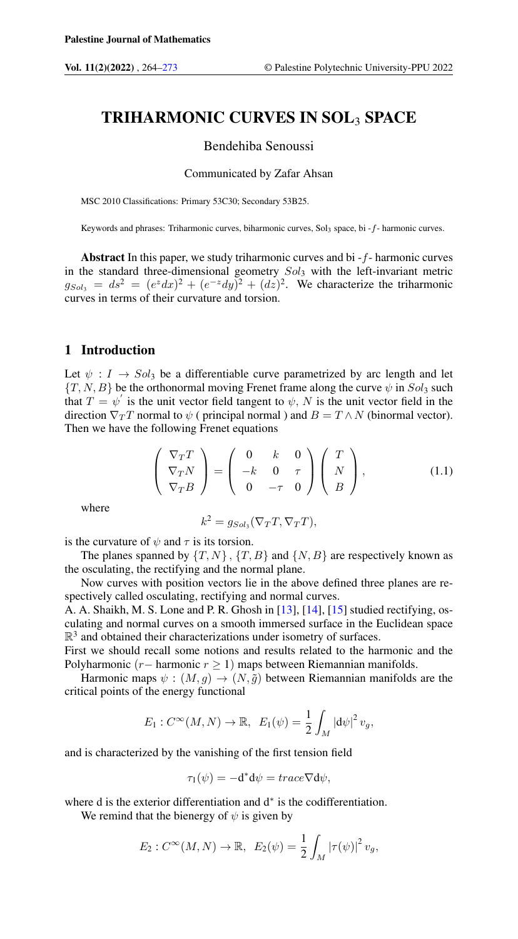# TRIHARMONIC CURVES IN SOL3 SPACE

# Bendehiba Senoussi

## Communicated by Zafar Ahsan

MSC 2010 Classifications: Primary 53C30; Secondary 53B25.

Keywords and phrases: Triharmonic curves, biharmonic curves, Sol3 space, bi - f- harmonic curves.

Abstract In this paper, we study triharmonic curves and bi  $-f$ - harmonic curves in the standard three-dimensional geometry  $Sol_3$  with the left-invariant metric  $g_{Sol_3} = ds^2 = (e^z dx)^2 + (e^{-z} dy)^2 + (dz)^2$ . We characterize the triharmonic curves in terms of their curvature and torsion.

### 1 Introduction

<span id="page-0-0"></span>Let  $\psi : I \to Sol_3$  be a differentiable curve parametrized by arc length and let  ${T, N, B}$  be the orthonormal moving Frenet frame along the curve  $\psi$  in  $Sol_3$  such that  $T = \psi'$  is the unit vector field tangent to  $\psi$ , N is the unit vector field in the direction  $\nabla_T T$  normal to  $\psi$  ( principal normal ) and  $B = T \wedge N$  (binormal vector). Then we have the following Frenet equations

$$
\begin{pmatrix} \nabla_T T \\ \nabla_T N \\ \nabla_T B \end{pmatrix} = \begin{pmatrix} 0 & k & 0 \\ -k & 0 & \tau \\ 0 & -\tau & 0 \end{pmatrix} \begin{pmatrix} T \\ N \\ B \end{pmatrix}, \tag{1.1}
$$

where

$$
k^2 = g_{Sol_3}(\nabla_T T, \nabla_T T),
$$

is the curvature of  $\psi$  and  $\tau$  is its torsion.

The planes spanned by  $\{T, N\}$ ,  $\{T, B\}$  and  $\{N, B\}$  are respectively known as the osculating, the rectifying and the normal plane.

Now curves with position vectors lie in the above defined three planes are respectively called osculating, rectifying and normal curves.

A. A. Shaikh, M. S. Lone and P. R. Ghosh in [\[13\]](#page-9-0), [\[14\]](#page-9-1), [\[15\]](#page-9-2) studied rectifying, osculating and normal curves on a smooth immersed surface in the Euclidean space  $\mathbb{R}^3$  and obtained their characterizations under isometry of surfaces.

First we should recall some notions and results related to the harmonic and the Polyharmonic (r – harmonic r ≥ 1) maps between Riemannian manifolds.

Harmonic maps  $\psi : (M, g) \to (N, \tilde{g})$  between Riemannian manifolds are the critical points of the energy functional

$$
E_1: C^{\infty}(M, N) \to \mathbb{R}, \ E_1(\psi) = \frac{1}{2} \int_M |\mathrm{d}\psi|^2 v_g,
$$

and is characterized by the vanishing of the first tension field

$$
\tau_1(\psi) = -\mathbf{d}^* \mathbf{d}\psi = \operatorname{trace} \nabla \mathbf{d}\psi,
$$

where d is the exterior differentiation and d<sup>∗</sup> is the codifferentiation.

We remind that the bienergy of  $\psi$  is given by

$$
E_2: C^{\infty}(M, N) \to \mathbb{R}, E_2(\psi) = \frac{1}{2} \int_M |\tau(\psi)|^2 v_g,
$$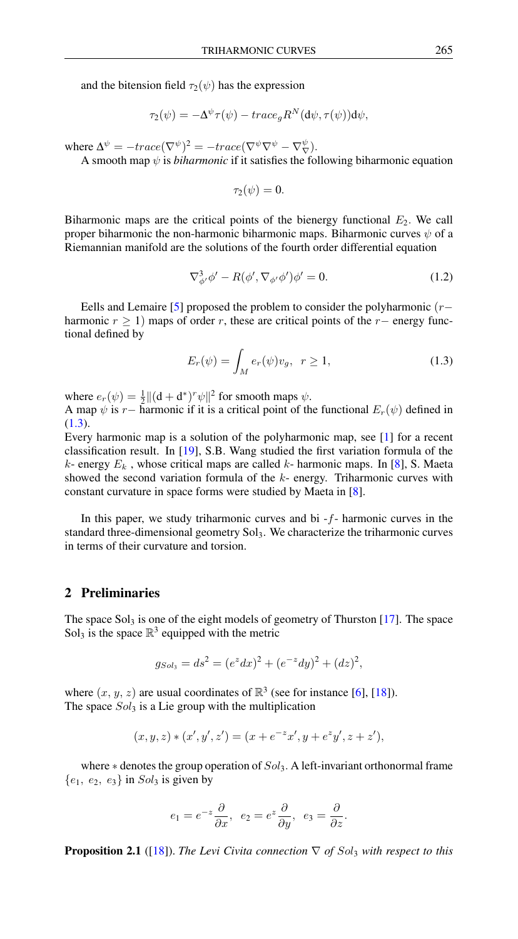and the bitension field  $\tau_2(\psi)$  has the expression

$$
\tau_2(\psi) = -\Delta^{\psi} \tau(\psi) - trace_{g} R^{N}(d\psi, \tau(\psi)) d\psi,
$$

where  $\Delta^{\psi} = -trace(\nabla^{\psi})^2 = -trace(\nabla^{\psi}\nabla^{\psi} - \nabla^{\psi}\nabla).$ 

A smooth map  $\psi$  is *biharmonic* if it satisfies the following biharmonic equation

$$
\tau_2(\psi)=0.
$$

Biharmonic maps are the critical points of the bienergy functional  $E_2$ . We call proper biharmonic the non-harmonic biharmonic maps. Biharmonic curves  $\psi$  of a Riemannian manifold are the solutions of the fourth order differential equation

$$
\nabla^3_{\phi'}\phi' - R(\phi', \nabla_{\phi'}\phi')\phi' = 0.
$$
\n(1.2)

Eells and Lemaire [\[5\]](#page-9-3) proposed the problem to consider the polyharmonic  $(r$ harmonic  $r \ge 1$ ) maps of order r, these are critical points of the r– energy functional defined by

<span id="page-1-0"></span>
$$
E_r(\psi) = \int_M e_r(\psi)v_g, \quad r \ge 1,
$$
\n(1.3)

where  $e_r(\psi) = \frac{1}{2} ||(\mathbf{d} + \mathbf{d}^*)^r \psi||^2$  for smooth maps  $\psi$ .

A map  $\psi$  is r – harmonic if it is a critical point of the functional  $E_r(\psi)$  defined in  $(1.3).$  $(1.3).$ 

Every harmonic map is a solution of the polyharmonic map, see [\[1\]](#page-8-1) for a recent classification result. In [\[19\]](#page-9-4), S.B. Wang studied the first variation formula of the k- energy  $E_k$ , whose critical maps are called k- harmonic maps. In [\[8\]](#page-9-5), S. Maeta showed the second variation formula of the  $k$ - energy. Triharmonic curves with constant curvature in space forms were studied by Maeta in [\[8\]](#page-9-5).

In this paper, we study triharmonic curves and bi  $-f$ - harmonic curves in the standard three-dimensional geometry Sol<sub>3</sub>. We characterize the triharmonic curves in terms of their curvature and torsion.

# 2 Preliminaries

The space  $Sol_3$  is one of the eight models of geometry of Thurston [\[17\]](#page-9-6). The space Sol<sub>3</sub> is the space  $\mathbb{R}^3$  equipped with the metric

$$
g_{Sol_3} = ds^2 = (e^z dx)^2 + (e^{-z} dy)^2 + (dz)^2,
$$

where  $(x, y, z)$  are usual coordinates of  $\mathbb{R}^3$  (see for instance [\[6\]](#page-9-7), [\[18\]](#page-9-8)). The space  $Sol_3$  is a Lie group with the multiplication

$$
(x, y, z) * (x', y', z') = (x + e^{-z}x', y + e^{z}y', z + z'),
$$

where  $*$  denotes the group operation of  $Sol_3$ . A left-invariant orthonormal frame  ${e_1, e_2, e_3}$  in  $Sol_3$  is given by

$$
e_1 = e^{-z} \frac{\partial}{\partial x}, e_2 = e^z \frac{\partial}{\partial y}, e_3 = \frac{\partial}{\partial z}.
$$

**Proposition 2.1** ([\[18\]](#page-9-8)). *The Levi Civita connection*  $\nabla$  *of Sol<sub>3</sub> with respect to this*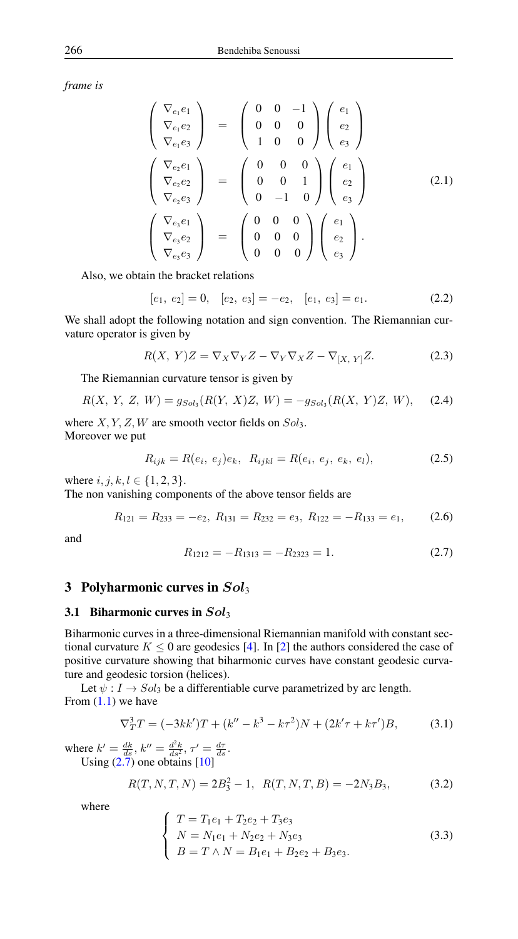*frame is*

$$
\begin{pmatrix}\n\nabla_{e_1} e_1 \\
\nabla_{e_1} e_2 \\
\nabla_{e_1} e_3\n\end{pmatrix} = \begin{pmatrix}\n0 & 0 & -1 \\
0 & 0 & 0 \\
1 & 0 & 0\n\end{pmatrix} \begin{pmatrix}\ne_1 \\
e_2 \\
e_3\n\end{pmatrix}
$$
\n
$$
\begin{pmatrix}\n\nabla_{e_2} e_1 \\
\nabla_{e_2} e_2 \\
\nabla_{e_2} e_3\n\end{pmatrix} = \begin{pmatrix}\n0 & 0 & 0 \\
0 & 0 & 1 \\
0 & -1 & 0\n\end{pmatrix} \begin{pmatrix}\ne_1 \\
e_2 \\
e_3\n\end{pmatrix}
$$
\n
$$
\begin{pmatrix}\n\nabla_{e_3} e_1 \\
\nabla_{e_3} e_2 \\
\nabla_{e_3} e_3\n\end{pmatrix} = \begin{pmatrix}\n0 & 0 & 0 \\
0 & 0 & 0 \\
0 & 0 & 0\n\end{pmatrix} \begin{pmatrix}\ne_1 \\
e_2 \\
e_3\n\end{pmatrix}.
$$
\n(2.1)

Also, we obtain the bracket relations

$$
[e_1, e_2] = 0, [e_2, e_3] = -e_2, [e_1, e_3] = e_1.
$$
 (2.2)

We shall adopt the following notation and sign convention. The Riemannian curvature operator is given by

<span id="page-2-1"></span>
$$
R(X, Y)Z = \nabla_X \nabla_Y Z - \nabla_Y \nabla_X Z - \nabla_{[X, Y]} Z.
$$
 (2.3)

The Riemannian curvature tensor is given by

$$
R(X, Y, Z, W) = g_{Sol_3}(R(Y, X)Z, W) = -g_{Sol_3}(R(X, Y)Z, W), \quad (2.4)
$$

where  $X, Y, Z, W$  are smooth vector fields on  $Sol_3$ . Moreover we put

$$
R_{ijk} = R(e_i, e_j)e_k, \ R_{ijkl} = R(e_i, e_j, e_k, e_l), \tag{2.5}
$$

where  $i, j, k, l \in \{1, 2, 3\}.$ 

The non vanishing components of the above tensor fields are

$$
R_{121} = R_{233} = -e_2, \ R_{131} = R_{232} = e_3, \ R_{122} = -R_{133} = e_1,\tag{2.6}
$$

<span id="page-2-0"></span>and

$$
R_{1212} = -R_{1313} = -R_{2323} = 1. \t\t(2.7)
$$

# 3 Polyharmonic curves in  $Sol_3$

#### 3.1 Biharmonic curves in  $Sol_3$

Biharmonic curves in a three-dimensional Riemannian manifold with constant sectional curvature  $K \leq 0$  are geodesics [\[4\]](#page-9-9). In [\[2\]](#page-8-2) the authors considered the case of positive curvature showing that biharmonic curves have constant geodesic curvature and geodesic torsion (helices).

Let  $\psi : I \to Sol_3$  be a differentiable curve parametrized by arc length. From  $(1.1)$  we have

$$
\nabla_T^3 T = (-3kk')T + (k'' - k^3 - k\tau^2)N + (2k'\tau + k\tau')B,\tag{3.1}
$$

where  $k' = \frac{dk}{ds}$ ,  $k'' = \frac{d^2k}{ds^2}$ ,  $\tau' = \frac{d\tau}{ds}$ . Using  $(2.7)$  one obtains  $[10]$ 

$$
R(T, N, T, N) = 2B_3^2 - 1, \ R(T, N, T, B) = -2N_3B_3,\tag{3.2}
$$

where

$$
\begin{cases}\nT = T_1 e_1 + T_2 e_2 + T_3 e_3 \\
N = N_1 e_1 + N_2 e_2 + N_3 e_3 \\
B = T \wedge N = B_1 e_1 + B_2 e_2 + B_3 e_3.\n\end{cases}
$$
\n(3.3)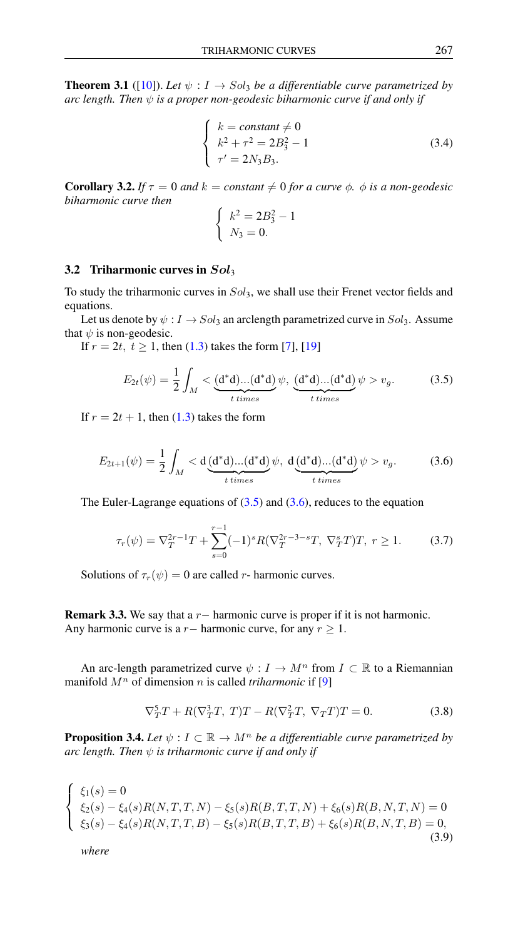**Theorem 3.1** ([\[10\]](#page-9-10)). Let  $\psi : I \to Sol_3$  be a differentiable curve parametrized by *arc length. Then*  $\psi$  *is a proper non-geodesic biharmonic curve if and only if* 

$$
\begin{cases}\nk = constant \neq 0 \\
k^2 + \tau^2 = 2B_3^2 - 1 \\
\tau' = 2N_3 B_3.\n\end{cases}
$$
\n(3.4)

**Corollary 3.2.** *If*  $\tau = 0$  *and*  $k = constant \neq 0$  *for a curve*  $\phi$ *.*  $\phi$  *is a non-geodesic biharmonic curve then*

$$
\begin{cases}\nk^2 = 2B_3^2 - 1 \\
N_3 = 0.\n\end{cases}
$$

#### 3.2 Triharmonic curves in  $Sol_3$

To study the triharmonic curves in  $Sol_3$ , we shall use their Frenet vector fields and equations.

Let us denote by  $\psi : I \to Sol_3$  an arclength parametrized curve in  $Sol_3$ . Assume that  $\psi$  is non-geodesic.

<span id="page-3-0"></span>If  $r = 2t, t \ge 1$ , then [\(1.3\)](#page-1-0) takes the form [\[7\]](#page-9-11), [\[19\]](#page-9-4)

$$
E_{2t}(\psi) = \frac{1}{2} \int_M < \underbrace{(d^*d)...(d^*d)}_{t \text{ times}} \psi, \underbrace{(d^*d)...(d^*d)}_{t \text{ times}} \psi > v_g. \tag{3.5}
$$

<span id="page-3-1"></span>If  $r = 2t + 1$ , then [\(1.3\)](#page-1-0) takes the form

$$
E_{2t+1}(\psi) = \frac{1}{2} \int_M < d\underbrace{(d^*d)...(d^*d)}_{t \ times} \psi, \ d\underbrace{(d^*d)...(d^*d)}_{t \ times} \psi > v_g. \tag{3.6}
$$

The Euler-Lagrange equations of  $(3.5)$  and  $(3.6)$ , reduces to the equation

$$
\tau_r(\psi) = \nabla_T^{2r-1} T + \sum_{s=0}^{r-1} (-1)^s R(\nabla_T^{2r-3-s} T, \nabla_T^s T) T, \ r \ge 1. \tag{3.7}
$$

Solutions of  $\tau_r(\psi) = 0$  are called r- harmonic curves.

Remark 3.3. We say that a  $r-$  harmonic curve is proper if it is not harmonic. Any harmonic curve is a  $r-$  harmonic curve, for any  $r \geq 1$ .

<span id="page-3-2"></span>An arc-length parametrized curve  $\psi : I \to M^n$  from  $I \subset \mathbb{R}$  to a Riemannian manifold  $M<sup>n</sup>$  of dimension n is called *triharmonic* if [\[9\]](#page-9-12)

$$
\nabla_T^5 T + R(\nabla_T^3 T, T)T - R(\nabla_T^2 T, \nabla_T T)T = 0.
$$
\n(3.8)

<span id="page-3-3"></span>**Proposition 3.4.** *Let*  $\psi: I \subset \mathbb{R} \to M^n$  *be a differentiable curve parametrized by arc length. Then*  $\psi$  *is triharmonic curve if and only if* 

$$
\begin{cases}\n\xi_1(s) = 0 \\
\xi_2(s) - \xi_4(s)R(N,T,T,N) - \xi_5(s)R(B,T,T,N) + \xi_6(s)R(B,N,T,N) = 0 \\
\xi_3(s) - \xi_4(s)R(N,T,T,B) - \xi_5(s)R(B,T,T,B) + \xi_6(s)R(B,N,T,B) = 0,\n\end{cases}
$$
\n(3.9)

*where*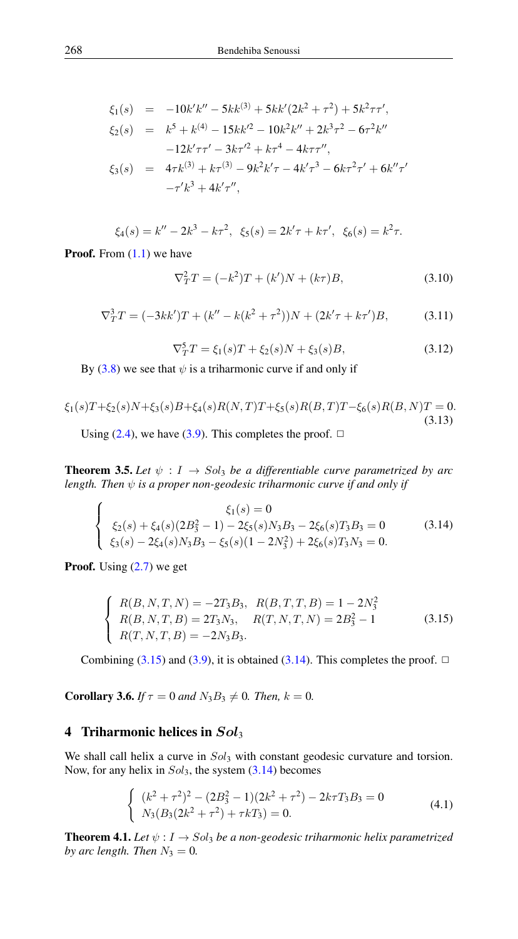$$
\xi_1(s) = -10k'k'' - 5kk^{(3)} + 5kk'(2k^2 + \tau^2) + 5k^2\tau\tau',
$$
  
\n
$$
\xi_2(s) = k^5 + k^{(4)} - 15kk'^2 - 10k^2k'' + 2k^3\tau^2 - 6\tau^2k''
$$
  
\n
$$
-12k'\tau\tau' - 3k\tau'^2 + k\tau^4 - 4k\tau\tau'',
$$
  
\n
$$
\xi_3(s) = 4\tau k^{(3)} + k\tau^{(3)} - 9k^2k'\tau - 4k'\tau^3 - 6k\tau^2\tau' + 6k''\tau'
$$
  
\n
$$
-\tau'k^3 + 4k'\tau'',
$$

$$
\xi_4(s) = k'' - 2k^3 - k\tau^2
$$
,  $\xi_5(s) = 2k'\tau + k\tau'$ ,  $\xi_6(s) = k^2\tau$ .

**Proof.** From  $(1.1)$  we have

<span id="page-4-3"></span>
$$
\nabla_T^2 T = (-k^2)T + (k')N + (k\tau)B,\tag{3.10}
$$

<span id="page-4-4"></span>
$$
\nabla_T^3 T = (-3kk')T + (k'' - k(k^2 + \tau^2))N + (2k'\tau + k\tau')B,\tag{3.11}
$$

<span id="page-4-1"></span>
$$
\nabla_T^5 T = \xi_1(s)T + \xi_2(s)N + \xi_3(s)B,\tag{3.12}
$$

By  $(3.8)$  we see that  $\psi$  is a triharmonic curve if and only if

$$
\xi_1(s)T+\xi_2(s)N+\xi_3(s)B+\xi_4(s)R(N,T)T+\xi_5(s)R(B,T)T-\xi_6(s)R(B,N)T=0.
$$
\n(3.13)

Using [\(2.4\)](#page-2-1), we have [\(3.9\)](#page-3-3). This completes the proof.  $\Box$ 

**Theorem 3.5.** Let  $\psi : I \rightarrow Sol_3$  be a differentiable curve parametrized by arc *length. Then*  $\psi$  *is a proper non-geodesic triharmonic curve if and only if* 

$$
\begin{cases}\n\xi_1(s) = 0 \\
\xi_2(s) + \xi_4(s)(2B_3^2 - 1) - 2\xi_5(s)N_3B_3 - 2\xi_6(s)T_3B_3 = 0 \\
\xi_3(s) - 2\xi_4(s)N_3B_3 - \xi_5(s)(1 - 2N_3^2) + 2\xi_6(s)T_3N_3 = 0.\n\end{cases}
$$
\n(3.14)

<span id="page-4-0"></span>**Proof.** Using  $(2.7)$  we get

$$
\begin{cases}\nR(B, N, T, N) = -2T_3 B_3, & R(B, T, T, B) = 1 - 2N_3^2 \\
R(B, N, T, B) = 2T_3 N_3, & R(T, N, T, N) = 2B_3^2 - 1 \\
R(T, N, T, B) = -2N_3 B_3.\n\end{cases}
$$
\n(3.15)

Combining [\(3.15\)](#page-4-0) and [\(3.9\)](#page-3-3), it is obtained [\(3.14\)](#page-4-1). This completes the proof.  $\Box$ 

**Corollary 3.6.** *If*  $\tau = 0$  *and*  $N_3B_3 \neq 0$ *. Then,*  $k = 0$ *.* 

### 4 Triharmonic helices in  $Sol_3$

<span id="page-4-2"></span>We shall call helix a curve in  $Sol_3$  with constant geodesic curvature and torsion. Now, for any helix in  $Sol_3$ , the system  $(3.14)$  becomes

$$
\begin{cases}\n(k^2 + \tau^2)^2 - (2B_3^2 - 1)(2k^2 + \tau^2) - 2k\tau T_3 B_3 = 0 \\
N_3(B_3(2k^2 + \tau^2) + \tau k T_3) = 0.\n\end{cases}
$$
\n(4.1)

**Theorem 4.1.** *Let*  $\psi : I \to Sol_3$  *be a non-geodesic triharmonic helix parametrized by arc length. Then*  $N_3 = 0$ *.*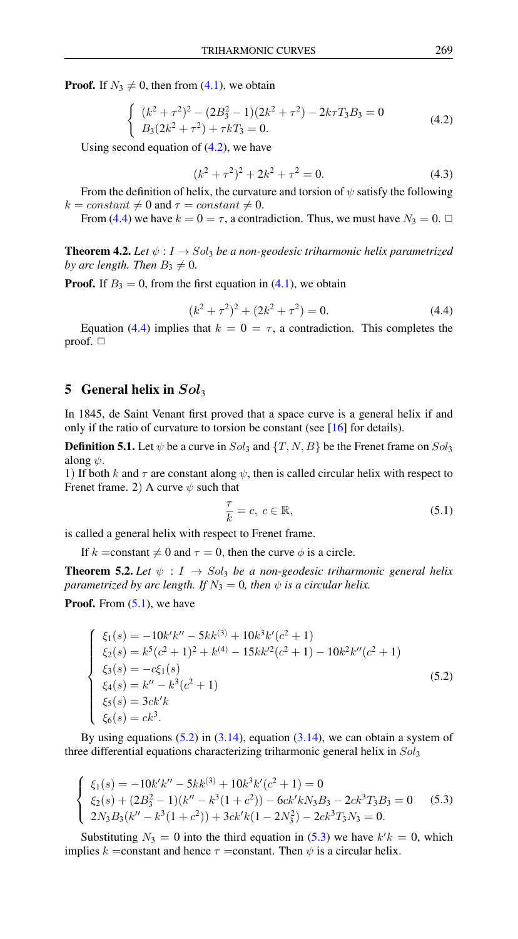<span id="page-5-0"></span>**Proof.** If  $N_3 \neq 0$ , then from [\(4.1\)](#page-4-2), we obtain

$$
\begin{cases} (k^2 + \tau^2)^2 - (2B_3^2 - 1)(2k^2 + \tau^2) - 2k\tau T_3 B_3 = 0\\ B_3(2k^2 + \tau^2) + \tau k T_3 = 0. \end{cases}
$$
(4.2)

Using second equation of  $(4.2)$ , we have

$$
(k2 + \tau2)2 + 2k2 + \tau2 = 0.
$$
 (4.3)

From the definition of helix, the curvature and torsion of  $\psi$  satisfy the following  $k = constant \neq 0$  and  $\tau = constant \neq 0$ .

From [\(4.4\)](#page-5-1) we have  $k = 0 = \tau$ , a contradiction. Thus, we must have  $N_3 = 0$ .  $\Box$ 

**Theorem 4.2.** *Let*  $\psi: I \to Sol_3$  *be a non-geodesic triharmonic helix parametrized by arc length. Then*  $B_3 \neq 0$ *.* 

<span id="page-5-1"></span>**Proof.** If  $B_3 = 0$ , from the first equation in [\(4.1\)](#page-4-2), we obtain

$$
(k2 + \tau2)2 + (2k2 + \tau2) = 0.
$$
 (4.4)

Equation [\(4.4\)](#page-5-1) implies that  $k = 0 = \tau$ , a contradiction. This completes the proof.  $\Box$ 

# 5 General helix in  $Sol_3$

In 1845, de Saint Venant first proved that a space curve is a general helix if and only if the ratio of curvature to torsion be constant (see [\[16\]](#page-9-13) for details).

**Definition 5.1.** Let  $\psi$  be a curve in  $Sol_3$  and  $\{T, N, B\}$  be the Frenet frame on  $Sol_3$ along  $\psi$ .

1) If both k and  $\tau$  are constant along  $\psi$ , then is called circular helix with respect to Frenet frame. 2) A curve  $\psi$  such that

<span id="page-5-2"></span>
$$
\frac{\tau}{k} = c, \ c \in \mathbb{R},\tag{5.1}
$$

is called a general helix with respect to Frenet frame.

If k = constant  $\neq 0$  and  $\tau = 0$ , then the curve  $\phi$  is a circle.

**Theorem 5.2.** Let  $\psi$  :  $I \rightarrow Sol_3$  be a non-geodesic triharmonic general helix *parametrized by arc length. If*  $N_3 = 0$ *, then*  $\psi$  *is a circular helix.* 

<span id="page-5-3"></span>**Proof.** From  $(5.1)$ , we have

$$
\begin{cases}\n\xi_1(s) = -10k'k'' - 5kk^{(3)} + 10k^3k'(c^2 + 1) \\
\xi_2(s) = k^5(c^2 + 1)^2 + k^{(4)} - 15kk'^2(c^2 + 1) - 10k^2k''(c^2 + 1) \\
\xi_3(s) = -c\xi_1(s) \\
\xi_4(s) = k'' - k^3(c^2 + 1) \\
\xi_5(s) = 3ck'k \\
\xi_6(s) = ck^3.\n\end{cases}
$$
\n(5.2)

By using equations  $(5.2)$  in  $(3.14)$ , equation  $(3.14)$ , we can obtain a system of three differential equations characterizing triharmonic general helix in  $Sol_3$ 

<span id="page-5-4"></span>
$$
\begin{cases} \xi_1(s) = -10k'k'' - 5kk^{(3)} + 10k^3k'(c^2 + 1) = 0\\ \xi_2(s) + (2B_3^2 - 1)(k'' - k^3(1 + c^2)) - 6ck'kN_3B_3 - 2ck^3T_3B_3 = 0\\ 2N_3B_3(k'' - k^3(1 + c^2)) + 3ck'k(1 - 2N_3^2) - 2ck^3T_3N_3 = 0. \end{cases}
$$
(5.3)

Substituting  $N_3 = 0$  into the third equation in [\(5.3\)](#page-5-4) we have  $k'k = 0$ , which implies k = constant and hence  $\tau$  = constant. Then  $\psi$  is a circular helix.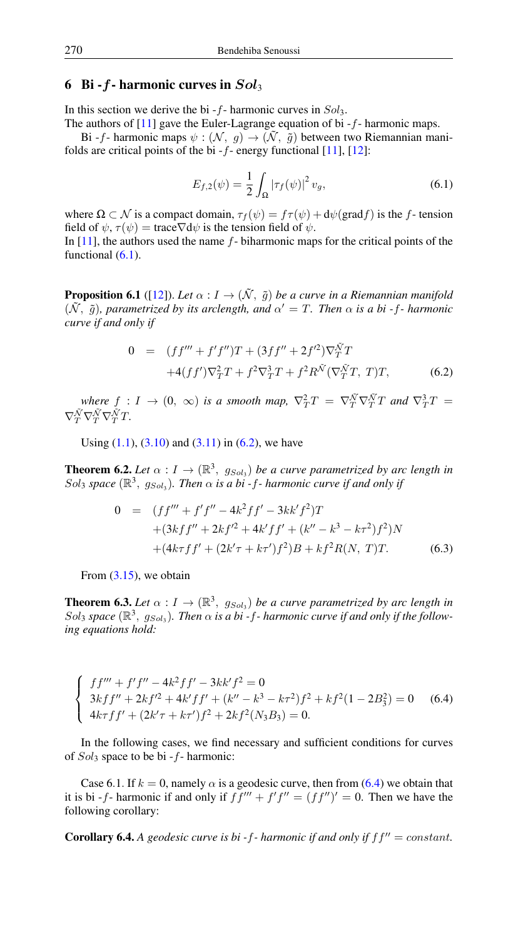# 6 Bi -  $f$ - harmonic curves in  $Sol_3$

In this section we derive the bi  $-f$ - harmonic curves in  $Sol_3$ .

The authors of  $[11]$  gave the Euler-Lagrange equation of bi  $-f$ - harmonic maps.

<span id="page-6-0"></span>Bi -f- harmonic maps  $\psi : (\mathcal{N}, g) \to (\tilde{\mathcal{N}}, \tilde{g})$  between two Riemannian manifolds are critical points of the bi  $-f$ - energy functional  $[11]$ ,  $[12]$ :

$$
E_{f,2}(\psi) = \frac{1}{2} \int_{\Omega} |\tau_f(\psi)|^2 v_g,
$$
\n(6.1)

where  $\Omega \subset \mathcal{N}$  is a compact domain,  $\tau_f(\psi) = f\tau(\psi) + d\psi(\text{grad} f)$  is the f-tension field of  $\psi$ ,  $\tau(\psi) = \text{trace} \nabla d\psi$  is the tension field of  $\psi$ . In  $[11]$ , the authors used the name  $f$ - biharmonic maps for the critical points of the

functional  $(6.1)$ .

**Proposition 6.1** ([\[12\]](#page-9-15)). *Let*  $\alpha : I \to (\tilde{\mathcal{N}}, \tilde{q})$  *be a curve in a Riemannian manifold*  $(\tilde{N}, \tilde{g})$ , parametrized by its arclength, and  $\alpha' = T$ . Then  $\alpha$  is a bi-f- harmonic *curve if and only if*

<span id="page-6-1"></span>
$$
0 = (ff''' + f'f'')T + (3ff'' + 2f'^2)\nabla_T^{\tilde{N}}T +4(ff')\nabla_T^2T + f^2\nabla_T^3T + f^2R^{\tilde{N}}(\nabla_T^{\tilde{N}}T, T)T,
$$
(6.2)

where  $f: I \to (0, \infty)$  *is a smooth map,*  $\nabla_T^2 T = \nabla_T^{\tilde{N}} \nabla_T^{\tilde{N}} T$  and  $\nabla_T^3 T =$  $\nabla^{\tilde{\mathcal{N}}}_T\nabla^{\tilde{\mathcal{N}}}_T\nabla^{\tilde{\mathcal{N}}}_T T.$ 

Using  $(1.1)$ ,  $(3.10)$  and  $(3.11)$  in  $(6.2)$ , we have

**Theorem 6.2.** Let  $\alpha: I \to (\mathbb{R}^3, g_{Sol_3})$  be a curve parametrized by arc length in  $Sol_3$  space  $(\mathbb{R}^3, g_{Sol_3})$ . Then  $\alpha$  is a bi-f- harmonic curve if and only if

$$
0 = (ff''' + f'f'' - 4k^2 ff' - 3kk'f^2)T
$$
  
+  $(3kf'' + 2kf'^2 + 4k'ff' + (k'' - k^3 - k\tau^2)f^2)N$   
+  $(4k\tau ff' + (2k'\tau + k\tau')f^2)B + kf^2R(N, T)T.$  (6.3)

From  $(3.15)$ , we obtain

**Theorem 6.3.** Let  $\alpha: I \to (\mathbb{R}^3, g_{Sol_3})$  be a curve parametrized by arc length in Sol<sub>3</sub> space ( $\mathbb{R}^3$ ,  $g_{Sol_3}$ ). Then  $\alpha$  is a bi-f- harmonic curve if and only if the follow*ing equations hold:*

<span id="page-6-2"></span>
$$
\begin{cases}\n f f''' + f' f'' - 4k^2 f f' - 3kk' f^2 = 0 \\
 3kf f'' + 2kf'^2 + 4k' f f' + (k'' - k^3 - k\tau^2)f^2 + kf^2(1 - 2B_3^2) = 0 \\
 4k\tau f f' + (2k'\tau + k\tau')f^2 + 2kf^2(N_3B_3) = 0.\n\end{cases}
$$
\n(6.4)

In the following cases, we find necessary and sufficient conditions for curves of  $Sol_3$  space to be bi -  $f$ - harmonic:

Case 6.1. If  $k = 0$ , namely  $\alpha$  is a geodesic curve, then from [\(6.4\)](#page-6-2) we obtain that it is bi -f- harmonic if and only if  $ff''' + f'f'' = (ff'')' = 0$ . Then we have the following corollary:

**Corollary 6.4.** A geodesic curve is bi-f- harmonic if and only if  $ff'' = constant$ .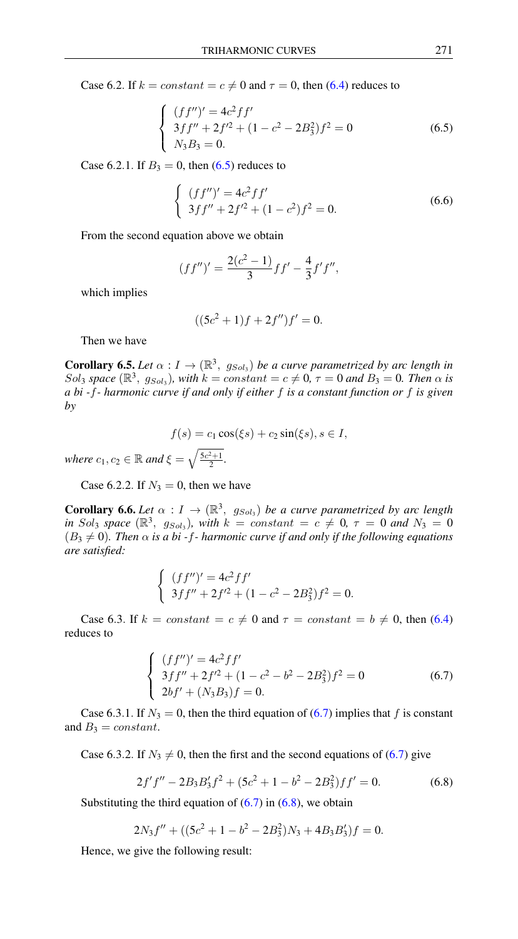<span id="page-7-0"></span>Case 6.2. If  $k = constant = c \neq 0$  and  $\tau = 0$ , then [\(6.4\)](#page-6-2) reduces to

$$
\begin{cases}\n(ff'')' = 4c^2 f f' \\
3f f'' + 2f'^2 + (1 - c^2 - 2B_3^2)f^2 = 0 \\
N_3 B_3 = 0.\n\end{cases}
$$
\n(6.5)

Case 6.2.1. If  $B_3 = 0$ , then [\(6.5\)](#page-7-0) reduces to

$$
\begin{cases} (ff'')' = 4c^2ff' \\ 3ff'' + 2f'^2 + (1 - c^2)f^2 = 0. \end{cases}
$$
 (6.6)

From the second equation above we obtain

$$
(ff'')' = \frac{2(c^2 - 1)}{3}ff' - \frac{4}{3}f'f'',
$$

which implies

$$
((5c2 + 1)f + 2f'')f' = 0.
$$

Then we have

**Corollary 6.5.** Let  $\alpha: I \to (\mathbb{R}^3, g_{Sol_3})$  be a curve parametrized by arc length in  $Sol_3$  *space* ( $\mathbb{R}^3$ ,  $g_{Sol_3}$ ), with  $k = constant = c \neq 0$ ,  $\tau = 0$  *and*  $B_3 = 0$ *. Then*  $\alpha$  *is a bi -*f*- harmonic curve if and only if either* f *is a constant function or* f *is given by*

$$
f(s) = c_1 \cos(\xi s) + c_2 \sin(\xi s), s \in I,
$$

*where*  $c_1, c_2 \in \mathbb{R}$  *and*  $\xi = \sqrt{\frac{5c^2+1}{2}}$ *.* 

Case 6.2.2. If  $N_3 = 0$ , then we have

**Corollary 6.6.** Let  $\alpha: I \to (\mathbb{R}^3, g_{Sol_3})$  be a curve parametrized by arc length *in* Sol<sub>3</sub> space  $(\mathbb{R}^3, g_{Sol_3})$ , with  $k = constant = c \neq 0, \tau = 0$  and  $N_3 = 0$  $(B_3 \neq 0)$ *. Then*  $\alpha$  *is a bi -f- harmonic curve if and only if the following equations are satisfied:*

$$
\begin{cases} (ff'')' = 4c^2ff' \\ 3ff'' + 2f'^2 + (1 - c^2 - 2B_3^2)f^2 = 0. \end{cases}
$$

<span id="page-7-1"></span>Case 6.3. If  $k = constant = c \neq 0$  and  $\tau = constant = b \neq 0$ , then [\(6.4\)](#page-6-2) reduces to

$$
\begin{cases}\n(ff'')' = 4c^2ff' \\
3ff'' + 2f'^2 + (1 - c^2 - b^2 - 2B_3^2)f^2 = 0 \\
2bf' + (N_3B_3)f = 0.\n\end{cases}
$$
\n(6.7)

Case 6.3.1. If  $N_3 = 0$ , then the third equation of [\(6.7\)](#page-7-1) implies that f is constant and  $B_3 = constant$ .

<span id="page-7-2"></span>Case 6.3.2. If  $N_3 \neq 0$ , then the first and the second equations of [\(6.7\)](#page-7-1) give

$$
2f'f'' - 2B_3B'_3f^2 + (5c^2 + 1 - b^2 - 2B_3^2)ff' = 0.
$$
 (6.8)

Substituting the third equation of  $(6.7)$  in  $(6.8)$ , we obtain

$$
2N_3f'' + ((5c^2 + 1 - b^2 - 2B_3^2)N_3 + 4B_3B_3')f = 0.
$$

Hence, we give the following result: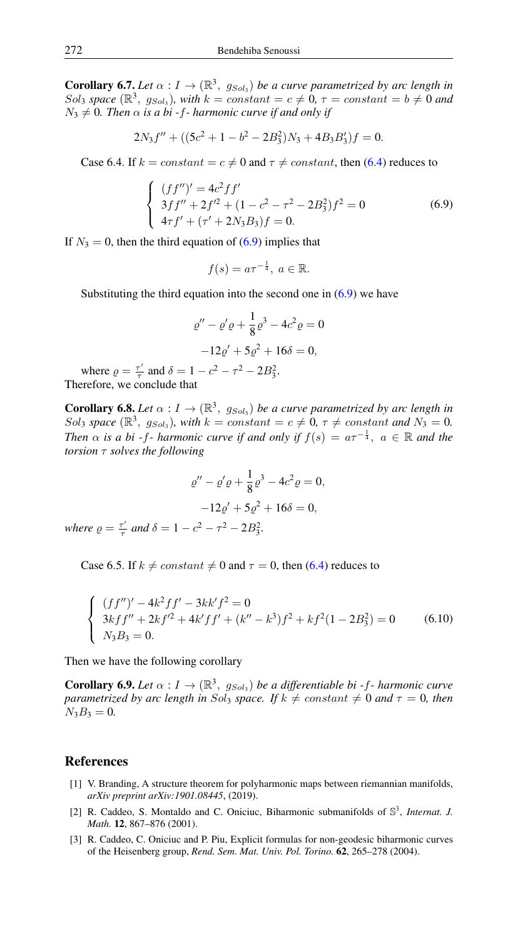**Corollary 6.7.** *Let*  $\alpha: I \to (\mathbb{R}^3, g_{Sol_3})$  *be a curve parametrized by arc length in*  $Sol_3$  space  $(\mathbb{R}^3, g_{Sol_3})$ , with  $k = constant = c \neq 0$ ,  $\tau = constant = b \neq 0$  and  $N_3 \neq 0$ . Then  $\alpha$  *is a bi -f- harmonic curve if and only if* 

$$
2N_3f'' + ((5c^2 + 1 - b^2 - 2B_3^2)N_3 + 4B_3B_3')f = 0.
$$

<span id="page-8-3"></span>Case 6.4. If  $k = constant = c \neq 0$  and  $\tau \neq constant$ , then [\(6.4\)](#page-6-2) reduces to

$$
\begin{cases}\n(ff'')' = 4c^2 ff' \\
3ff'' + 2f'^2 + (1 - c^2 - \tau^2 - 2B_3^2)f^2 = 0 \\
4\tau f' + (\tau' + 2N_3B_3)f = 0.\n\end{cases}
$$
\n(6.9)

If  $N_3 = 0$ , then the third equation of [\(6.9\)](#page-8-3) implies that

$$
f(s) = a\tau^{-\frac{1}{4}}, \ a \in \mathbb{R}.
$$

Substituting the third equation into the second one in  $(6.9)$  we have

$$
\varrho'' - \varrho'\varrho + \frac{1}{8}\varrho^3 - 4c^2\varrho = 0
$$
  
-12\varrho' + 5\varrho^2 + 16\delta = 0,

where  $\rho = \frac{\tau'}{\tau}$  $\frac{\tau'}{\tau}$  and  $\delta = 1 - c^2 - \tau^2 - 2B_3^2$ . Therefore, we conclude that

**Corollary 6.8.** Let  $\alpha: I \to (\mathbb{R}^3, g_{Sol_3})$  be a curve parametrized by arc length in Sol<sub>3</sub> space  $(\mathbb{R}^3, g_{Sol_3})$ , with  $k = constant = c \neq 0, \tau \neq constant$  and  $N_3 = 0$ . *Then*  $\alpha$  *is a bi -f- harmonic curve if and only if*  $f(s) = a\tau^{-\frac{1}{4}}$ ,  $a \in \mathbb{R}$  *and the torsion* τ *solves the following*

$$
\varrho'' - \varrho' \varrho + \frac{1}{8} \varrho^3 - 4c^2 \varrho = 0,
$$
  

$$
-12\varrho' + 5\varrho^2 + 16\delta = 0,
$$
  
 $\leq \varrho$  and  $\delta = 1 - c^2 - \tau^2 - 2B^2$ 

*where*  $\rho = \frac{\tau'}{\tau}$ τ *and*  $\delta = 1 - c^2 - \tau$  $^{2}-2B_{3}^{2}$ 3 *.*

Case 6.5. If  $k \neq constant \neq 0$  and  $\tau = 0$ , then [\(6.4\)](#page-6-2) reduces to

$$
\begin{cases}\n(ff'')' - 4k^2 f f' - 3kk' f^2 = 0 \\
3kf f'' + 2kf'^2 + 4k' f f' + (k'' - k^3)f^2 + kf^2(1 - 2B_3^2) = 0 \\
N_3 B_3 = 0.\n\end{cases}
$$
\n(6.10)

Then we have the following corollary

**Corollary 6.9.** Let  $\alpha: I \to (\mathbb{R}^3, g_{Sol_3})$  be a differentiable bi-f- harmonic curve *parametrized by arc length in Sol<sub>3</sub> space. If*  $k \neq constant \neq 0$  *and*  $\tau = 0$ *, then*  $N_3B_3 = 0.$ 

# <span id="page-8-0"></span>References

- <span id="page-8-1"></span>[1] V. Branding, A structure theorem for polyharmonic maps between riemannian manifolds, *arXiv preprint arXiv:1901.08445*, (2019).
- <span id="page-8-2"></span>[2] R. Caddeo, S. Montaldo and C. Oniciuc, Biharmonic submanifolds of S 3 , *Internat. J. Math.* 12, 867–876 (2001).
- [3] R. Caddeo, C. Oniciuc and P. Piu, Explicit formulas for non-geodesic biharmonic curves of the Heisenberg group, *Rend. Sem. Mat. Univ. Pol. Torino.* 62, 265–278 (2004).